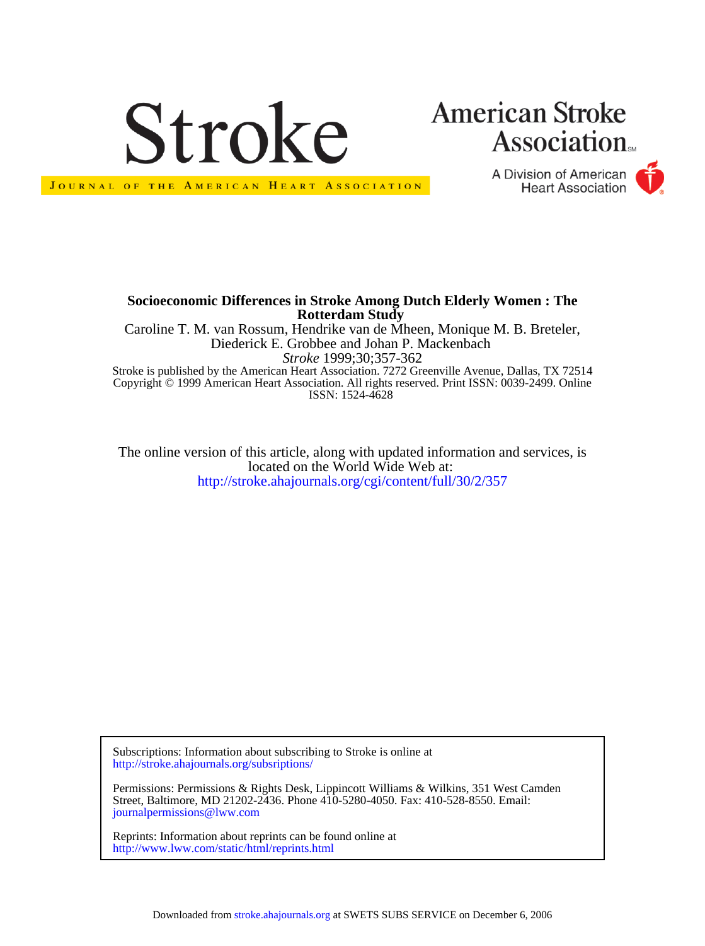

# **American Stroke Association**

A Division of American **Heart Association** 



JOURNAL OF THE AMERICAN HEART ASSOCIATION

# **Rotterdam Study Socioeconomic Differences in Stroke Among Dutch Elderly Women : The**

ISSN: 1524-4628 Copyright © 1999 American Heart Association. All rights reserved. Print ISSN: 0039-2499. Online Stroke is published by the American Heart Association. 7272 Greenville Avenue, Dallas, TX 72514 *Stroke* 1999;30;357-362 Diederick E. Grobbee and Johan P. Mackenbach Caroline T. M. van Rossum, Hendrike van de Mheen, Monique M. B. Breteler,

<http://stroke.ahajournals.org/cgi/content/full/30/2/357> located on the World Wide Web at: The online version of this article, along with updated information and services, is

[http://stroke.ahajournals.org/subsriptions/](http://stroke.ahajournals.org/subscriptions/) Subscriptions: Information about subscribing to Stroke is online at

[journalpermissions@lww.com](mailto:journalpermissions@lww.com) Street, Baltimore, MD 21202-2436. Phone 410-5280-4050. Fax: 410-528-8550. Email: Permissions: Permissions & Rights Desk, Lippincott Williams & Wilkins, 351 West Camden

<http://www.lww.com/static/html/reprints.html> Reprints: Information about reprints can be found online at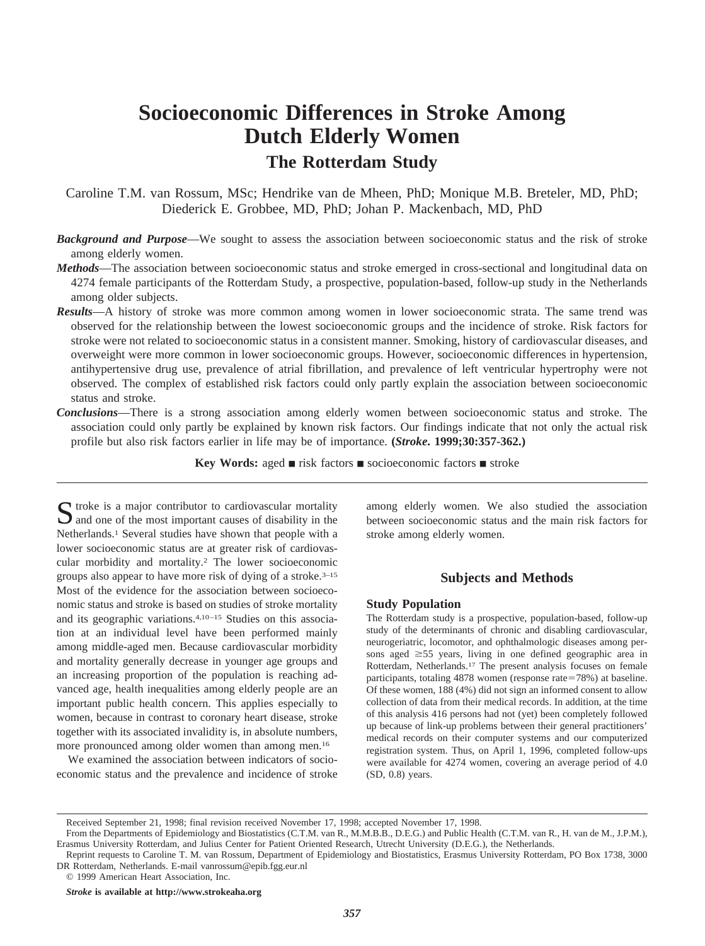# **Socioeconomic Differences in Stroke Among Dutch Elderly Women The Rotterdam Study**

Caroline T.M. van Rossum, MSc; Hendrike van de Mheen, PhD; Monique M.B. Breteler, MD, PhD; Diederick E. Grobbee, MD, PhD; Johan P. Mackenbach, MD, PhD

*Background and Purpose*—We sought to assess the association between socioeconomic status and the risk of stroke among elderly women.

*Methods*—The association between socioeconomic status and stroke emerged in cross-sectional and longitudinal data on 4274 female participants of the Rotterdam Study, a prospective, population-based, follow-up study in the Netherlands among older subjects.

- *Results*—A history of stroke was more common among women in lower socioeconomic strata. The same trend was observed for the relationship between the lowest socioeconomic groups and the incidence of stroke. Risk factors for stroke were not related to socioeconomic status in a consistent manner. Smoking, history of cardiovascular diseases, and overweight were more common in lower socioeconomic groups. However, socioeconomic differences in hypertension, antihypertensive drug use, prevalence of atrial fibrillation, and prevalence of left ventricular hypertrophy were not observed. The complex of established risk factors could only partly explain the association between socioeconomic status and stroke.
- *Conclusions*—There is a strong association among elderly women between socioeconomic status and stroke. The association could only partly be explained by known risk factors. Our findings indicate that not only the actual risk profile but also risk factors earlier in life may be of importance. **(***Stroke***. 1999;30:357-362.)**

**Key Words:** aged ■ risk factors ■ socioeconomic factors ■ stroke

Stroke is a major contributor to cardiovascular mortality<br>and one of the most important causes of disability in the Netherlands.1 Several studies have shown that people with a lower socioeconomic status are at greater risk of cardiovascular morbidity and mortality.2 The lower socioeconomic groups also appear to have more risk of dying of a stroke.3–15 Most of the evidence for the association between socioeconomic status and stroke is based on studies of stroke mortality and its geographic variations.4,10–15 Studies on this association at an individual level have been performed mainly among middle-aged men. Because cardiovascular morbidity and mortality generally decrease in younger age groups and an increasing proportion of the population is reaching advanced age, health inequalities among elderly people are an important public health concern. This applies especially to women, because in contrast to coronary heart disease, stroke together with its associated invalidity is, in absolute numbers, more pronounced among older women than among men.16

We examined the association between indicators of socioeconomic status and the prevalence and incidence of stroke among elderly women. We also studied the association between socioeconomic status and the main risk factors for stroke among elderly women.

### **Subjects and Methods**

#### **Study Population**

The Rotterdam study is a prospective, population-based, follow-up study of the determinants of chronic and disabling cardiovascular, neurogeriatric, locomotor, and ophthalmologic diseases among persons aged  $\geq 55$  years, living in one defined geographic area in Rotterdam, Netherlands.17 The present analysis focuses on female participants, totaling  $4878$  women (response rate=78%) at baseline. Of these women, 188 (4%) did not sign an informed consent to allow collection of data from their medical records. In addition, at the time of this analysis 416 persons had not (yet) been completely followed up because of link-up problems between their general practitioners' medical records on their computer systems and our computerized registration system. Thus, on April 1, 1996, completed follow-ups were available for 4274 women, covering an average period of 4.0 (SD, 0.8) years.

*Stroke* **is available at http://www.strokeaha.org**

Received September 21, 1998; final revision received November 17, 1998; accepted November 17, 1998.

From the Departments of Epidemiology and Biostatistics (C.T.M. van R., M.M.B.B., D.E.G.) and Public Health (C.T.M. van R., H. van de M., J.P.M.), Erasmus University Rotterdam, and Julius Center for Patient Oriented Research, Utrecht University (D.E.G.), the Netherlands.

Reprint requests to Caroline T. M. van Rossum, Department of Epidemiology and Biostatistics, Erasmus University Rotterdam, PO Box 1738, 3000 DR Rotterdam, Netherlands. E-mail vanrossum@epib.fgg.eur.nl

<sup>© 1999</sup> American Heart Association, Inc.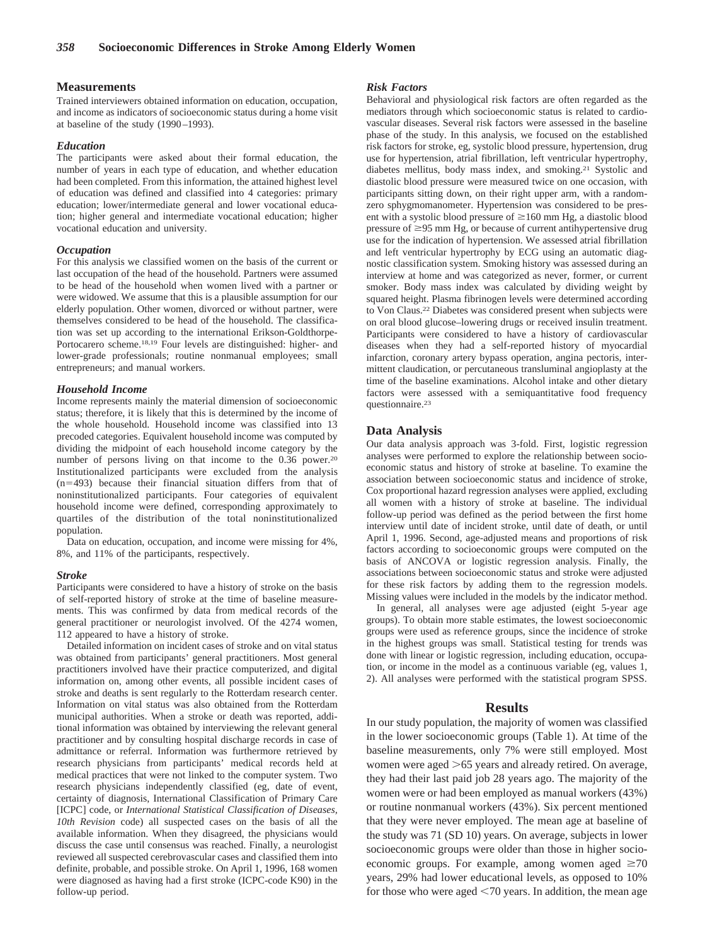#### **Measurements**

Trained interviewers obtained information on education, occupation, and income as indicators of socioeconomic status during a home visit at baseline of the study (1990–1993).

#### *Education*

The participants were asked about their formal education, the number of years in each type of education, and whether education had been completed. From this information, the attained highest level of education was defined and classified into 4 categories: primary education; lower/intermediate general and lower vocational education; higher general and intermediate vocational education; higher vocational education and university.

#### *Occupation*

For this analysis we classified women on the basis of the current or last occupation of the head of the household. Partners were assumed to be head of the household when women lived with a partner or were widowed. We assume that this is a plausible assumption for our elderly population. Other women, divorced or without partner, were themselves considered to be head of the household. The classification was set up according to the international Erikson-Goldthorpe-Portocarero scheme.18,19 Four levels are distinguished: higher- and lower-grade professionals; routine nonmanual employees; small entrepreneurs; and manual workers.

#### *Household Income*

Income represents mainly the material dimension of socioeconomic status; therefore, it is likely that this is determined by the income of the whole household. Household income was classified into 13 precoded categories. Equivalent household income was computed by dividing the midpoint of each household income category by the number of persons living on that income to the 0.36 power.<sup>20</sup> Institutionalized participants were excluded from the analysis  $(n=493)$  because their financial situation differs from that of noninstitutionalized participants. Four categories of equivalent household income were defined, corresponding approximately to quartiles of the distribution of the total noninstitutionalized population.

Data on education, occupation, and income were missing for 4%, 8%, and 11% of the participants, respectively.

#### *Stroke*

Participants were considered to have a history of stroke on the basis of self-reported history of stroke at the time of baseline measurements. This was confirmed by data from medical records of the general practitioner or neurologist involved. Of the 4274 women, 112 appeared to have a history of stroke.

Detailed information on incident cases of stroke and on vital status was obtained from participants' general practitioners. Most general practitioners involved have their practice computerized, and digital information on, among other events, all possible incident cases of stroke and deaths is sent regularly to the Rotterdam research center. Information on vital status was also obtained from the Rotterdam municipal authorities. When a stroke or death was reported, additional information was obtained by interviewing the relevant general practitioner and by consulting hospital discharge records in case of admittance or referral. Information was furthermore retrieved by research physicians from participants' medical records held at medical practices that were not linked to the computer system. Two research physicians independently classified (eg, date of event, certainty of diagnosis, International Classification of Primary Care [ICPC] code, or *International Statistical Classification of Diseases, 10th Revision* code) all suspected cases on the basis of all the available information. When they disagreed, the physicians would discuss the case until consensus was reached. Finally, a neurologist reviewed all suspected cerebrovascular cases and classified them into definite, probable, and possible stroke. On April 1, 1996, 168 women were diagnosed as having had a first stroke (ICPC-code K90) in the follow-up period.

#### *Risk Factors*

Behavioral and physiological risk factors are often regarded as the mediators through which socioeconomic status is related to cardiovascular diseases. Several risk factors were assessed in the baseline phase of the study. In this analysis, we focused on the established risk factors for stroke, eg, systolic blood pressure, hypertension, drug use for hypertension, atrial fibrillation, left ventricular hypertrophy, diabetes mellitus, body mass index, and smoking.21 Systolic and diastolic blood pressure were measured twice on one occasion, with participants sitting down, on their right upper arm, with a randomzero sphygmomanometer. Hypertension was considered to be present with a systolic blood pressure of  $\geq 160$  mm Hg, a diastolic blood pressure of  $\geq$ 95 mm Hg, or because of current antihypertensive drug use for the indication of hypertension. We assessed atrial fibrillation and left ventricular hypertrophy by ECG using an automatic diagnostic classification system. Smoking history was assessed during an interview at home and was categorized as never, former, or current smoker. Body mass index was calculated by dividing weight by squared height. Plasma fibrinogen levels were determined according to Von Claus.22 Diabetes was considered present when subjects were on oral blood glucose–lowering drugs or received insulin treatment. Participants were considered to have a history of cardiovascular diseases when they had a self-reported history of myocardial infarction, coronary artery bypass operation, angina pectoris, intermittent claudication, or percutaneous transluminal angioplasty at the time of the baseline examinations. Alcohol intake and other dietary factors were assessed with a semiquantitative food frequency questionnaire.23

#### **Data Analysis**

Our data analysis approach was 3-fold. First, logistic regression analyses were performed to explore the relationship between socioeconomic status and history of stroke at baseline. To examine the association between socioeconomic status and incidence of stroke, Cox proportional hazard regression analyses were applied, excluding all women with a history of stroke at baseline. The individual follow-up period was defined as the period between the first home interview until date of incident stroke, until date of death, or until April 1, 1996. Second, age-adjusted means and proportions of risk factors according to socioeconomic groups were computed on the basis of ANCOVA or logistic regression analysis. Finally, the associations between socioeconomic status and stroke were adjusted for these risk factors by adding them to the regression models. Missing values were included in the models by the indicator method.

In general, all analyses were age adjusted (eight 5-year age groups). To obtain more stable estimates, the lowest socioeconomic groups were used as reference groups, since the incidence of stroke in the highest groups was small. Statistical testing for trends was done with linear or logistic regression, including education, occupation, or income in the model as a continuous variable (eg, values 1, 2). All analyses were performed with the statistical program SPSS.

#### **Results**

In our study population, the majority of women was classified in the lower socioeconomic groups (Table 1). At time of the baseline measurements, only 7% were still employed. Most women were aged >65 years and already retired. On average, they had their last paid job 28 years ago. The majority of the women were or had been employed as manual workers (43%) or routine nonmanual workers (43%). Six percent mentioned that they were never employed. The mean age at baseline of the study was 71 (SD 10) years. On average, subjects in lower socioeconomic groups were older than those in higher socioeconomic groups. For example, among women aged  $\geq 70$ years, 29% had lower educational levels, as opposed to 10% for those who were aged  $\leq$ 70 years. In addition, the mean age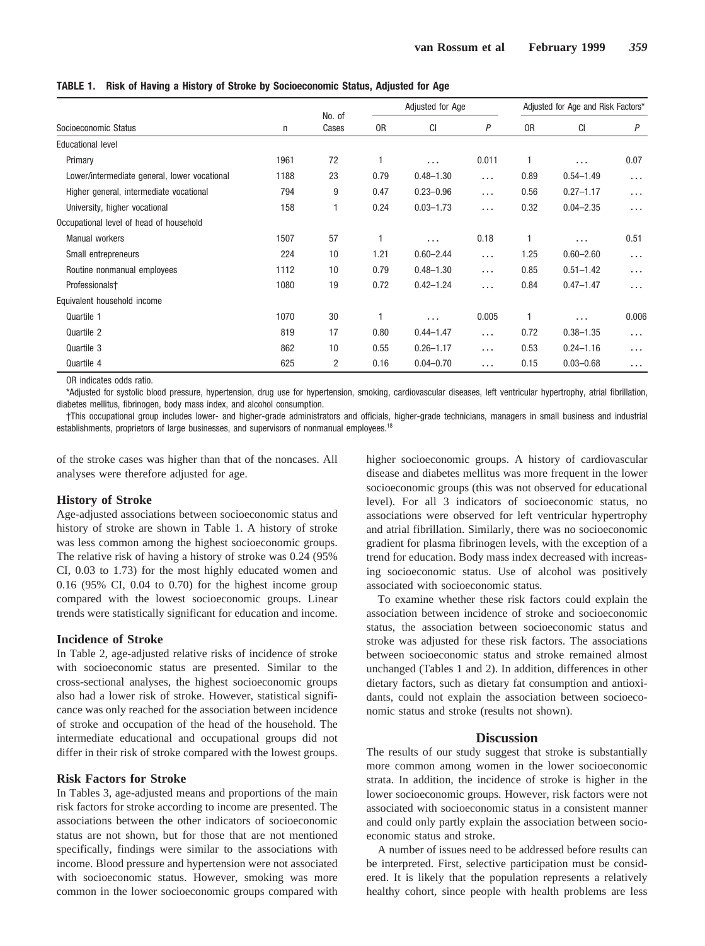|                                              |      | No. of<br>Cases | Adjusted for Age |               |          | Adjusted for Age and Risk Factors* |               |          |
|----------------------------------------------|------|-----------------|------------------|---------------|----------|------------------------------------|---------------|----------|
| Socioeconomic Status                         | n    |                 | 0 <sub>R</sub>   | <b>CI</b>     | P        | 0 <sub>R</sub>                     | CI            | P        |
| <b>Educational level</b>                     |      |                 |                  |               |          |                                    |               |          |
| Primary                                      | 1961 | 72              |                  | $\cdots$      | 0.011    | 1                                  | $\cdots$      | 0.07     |
| Lower/intermediate general, lower vocational | 1188 | 23              | 0.79             | $0.48 - 1.30$ | $\cdots$ | 0.89                               | $0.54 - 1.49$ | $\cdots$ |
| Higher general, intermediate vocational      | 794  | 9               | 0.47             | $0.23 - 0.96$ | $\cdots$ | 0.56                               | $0.27 - 1.17$ | $\cdots$ |
| University, higher vocational                | 158  | 1               | 0.24             | $0.03 - 1.73$ | .        | 0.32                               | $0.04 - 2.35$ | $\cdots$ |
| Occupational level of head of household      |      |                 |                  |               |          |                                    |               |          |
| Manual workers                               | 1507 | 57              |                  | $\cdots$      | 0.18     | 1                                  | .             | 0.51     |
| Small entrepreneurs                          | 224  | 10              | 1.21             | $0.60 - 2.44$ | $\cdots$ | 1.25                               | $0.60 - 2.60$ | $\cdots$ |
| Routine nonmanual employees                  | 1112 | 10              | 0.79             | $0.48 - 1.30$ | $\cdots$ | 0.85                               | $0.51 - 1.42$ | .        |
| Professionals <sup>+</sup>                   | 1080 | 19              | 0.72             | $0.42 - 1.24$ | .        | 0.84                               | $0.47 - 1.47$ | .        |
| Equivalent household income                  |      |                 |                  |               |          |                                    |               |          |
| Quartile 1                                   | 1070 | 30              |                  | $\cdots$      | 0.005    | 1                                  | .             | 0.006    |
| Quartile 2                                   | 819  | 17              | 0.80             | $0.44 - 1.47$ | $\cdots$ | 0.72                               | $0.38 - 1.35$ | $\cdots$ |
| Quartile 3                                   | 862  | 10              | 0.55             | $0.26 - 1.17$ | .        | 0.53                               | $0.24 - 1.16$ | $\cdots$ |
| Quartile 4                                   | 625  | 2               | 0.16             | $0.04 - 0.70$ | $\cdots$ | 0.15                               | $0.03 - 0.68$ | $\cdots$ |

**TABLE 1. Risk of Having a History of Stroke by Socioeconomic Status, Adjusted for Age**

OR indicates odds ratio.

\*Adjusted for systolic blood pressure, hypertension, drug use for hypertension, smoking, cardiovascular diseases, left ventricular hypertrophy, atrial fibrillation, diabetes mellitus, fibrinogen, body mass index, and alcohol consumption.

†This occupational group includes lower- and higher-grade administrators and officials, higher-grade technicians, managers in small business and industrial establishments, proprietors of large businesses, and supervisors of nonmanual employees.<sup>18</sup>

of the stroke cases was higher than that of the noncases. All analyses were therefore adjusted for age.

# **History of Stroke**

Age-adjusted associations between socioeconomic status and history of stroke are shown in Table 1. A history of stroke was less common among the highest socioeconomic groups. The relative risk of having a history of stroke was 0.24 (95% CI, 0.03 to 1.73) for the most highly educated women and 0.16 (95% CI, 0.04 to 0.70) for the highest income group compared with the lowest socioeconomic groups. Linear trends were statistically significant for education and income.

# **Incidence of Stroke**

In Table 2, age-adjusted relative risks of incidence of stroke with socioeconomic status are presented. Similar to the cross-sectional analyses, the highest socioeconomic groups also had a lower risk of stroke. However, statistical significance was only reached for the association between incidence of stroke and occupation of the head of the household. The intermediate educational and occupational groups did not differ in their risk of stroke compared with the lowest groups.

# **Risk Factors for Stroke**

In Tables 3, age-adjusted means and proportions of the main risk factors for stroke according to income are presented. The associations between the other indicators of socioeconomic status are not shown, but for those that are not mentioned specifically, findings were similar to the associations with income. Blood pressure and hypertension were not associated with socioeconomic status. However, smoking was more common in the lower socioeconomic groups compared with

higher socioeconomic groups. A history of cardiovascular disease and diabetes mellitus was more frequent in the lower socioeconomic groups (this was not observed for educational level). For all 3 indicators of socioeconomic status, no associations were observed for left ventricular hypertrophy and atrial fibrillation. Similarly, there was no socioeconomic gradient for plasma fibrinogen levels, with the exception of a trend for education. Body mass index decreased with increasing socioeconomic status. Use of alcohol was positively associated with socioeconomic status.

To examine whether these risk factors could explain the association between incidence of stroke and socioeconomic status, the association between socioeconomic status and stroke was adjusted for these risk factors. The associations between socioeconomic status and stroke remained almost unchanged (Tables 1 and 2). In addition, differences in other dietary factors, such as dietary fat consumption and antioxidants, could not explain the association between socioeconomic status and stroke (results not shown).

# **Discussion**

The results of our study suggest that stroke is substantially more common among women in the lower socioeconomic strata. In addition, the incidence of stroke is higher in the lower socioeconomic groups. However, risk factors were not associated with socioeconomic status in a consistent manner and could only partly explain the association between socioeconomic status and stroke.

A number of issues need to be addressed before results can be interpreted. First, selective participation must be considered. It is likely that the population represents a relatively healthy cohort, since people with health problems are less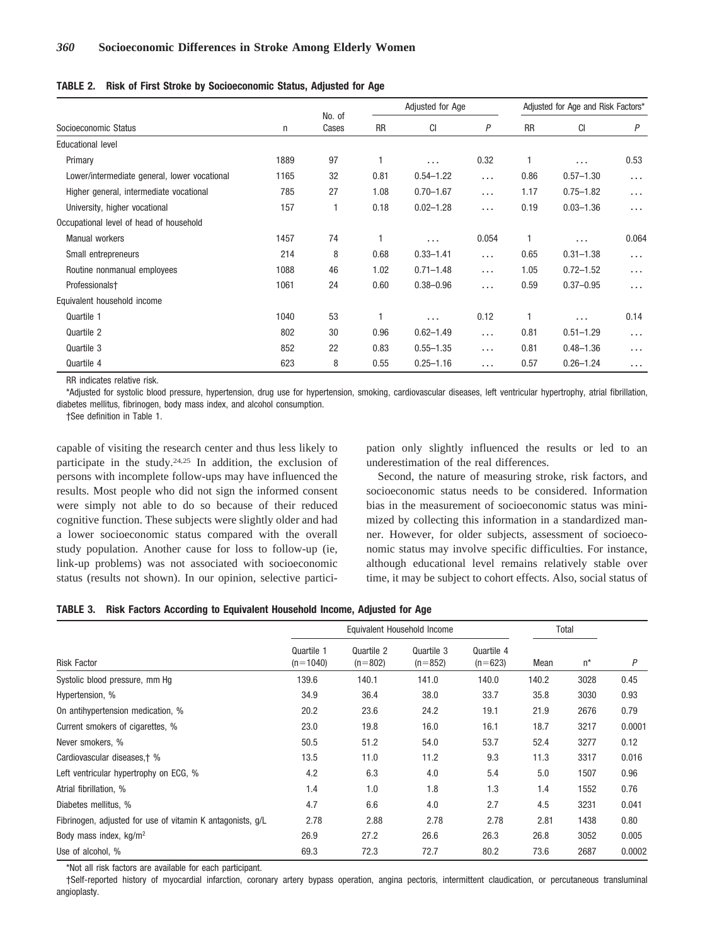|                                              |      |                 |           | Adjusted for Age |          | Adjusted for Age and Risk Factors* |               |          |
|----------------------------------------------|------|-----------------|-----------|------------------|----------|------------------------------------|---------------|----------|
| Socioeconomic Status                         | n    | No. of<br>Cases | <b>RR</b> | <b>CI</b>        | P        | <b>RR</b>                          | <sub>CI</sub> | P        |
| Educational level                            |      |                 |           |                  |          |                                    |               |          |
| Primary                                      | 1889 | 97              |           | $\cdots$         | 0.32     |                                    | .             | 0.53     |
| Lower/intermediate general, lower vocational | 1165 | 32              | 0.81      | $0.54 - 1.22$    | $\cdots$ | 0.86                               | $0.57 - 1.30$ | $\cdots$ |
| Higher general, intermediate vocational      | 785  | 27              | 1.08      | $0.70 - 1.67$    | $\cdots$ | 1.17                               | $0.75 - 1.82$ | .        |
| University, higher vocational                | 157  | 1               | 0.18      | $0.02 - 1.28$    | .        | 0.19                               | $0.03 - 1.36$ | .        |
| Occupational level of head of household      |      |                 |           |                  |          |                                    |               |          |
| Manual workers                               | 1457 | 74              |           | $\cdots$         | 0.054    |                                    | .             | 0.064    |
| Small entrepreneurs                          | 214  | 8               | 0.68      | $0.33 - 1.41$    | $\cdots$ | 0.65                               | $0.31 - 1.38$ | $\cdots$ |
| Routine nonmanual employees                  | 1088 | 46              | 1.02      | $0.71 - 1.48$    | $\cdots$ | 1.05                               | $0.72 - 1.52$ | $\cdots$ |
| Professionals+                               | 1061 | 24              | 0.60      | $0.38 - 0.96$    | $\cdots$ | 0.59                               | $0.37 - 0.95$ | .        |
| Equivalent household income                  |      |                 |           |                  |          |                                    |               |          |
| Quartile 1                                   | 1040 | 53              |           | $\cdots$         | 0.12     |                                    | .             | 0.14     |
| Quartile 2                                   | 802  | 30              | 0.96      | $0.62 - 1.49$    | $\cdots$ | 0.81                               | $0.51 - 1.29$ | .        |
| Quartile 3                                   | 852  | 22              | 0.83      | $0.55 - 1.35$    | .        | 0.81                               | $0.48 - 1.36$ | $\cdots$ |
| Quartile 4                                   | 623  | 8               | 0.55      | $0.25 - 1.16$    | $\cdots$ | 0.57                               | $0.26 - 1.24$ | $\cdots$ |

|  |  |  |  |  | TABLE 2. Risk of First Stroke by Socioeconomic Status, Adjusted for Age |  |  |  |  |
|--|--|--|--|--|-------------------------------------------------------------------------|--|--|--|--|
|--|--|--|--|--|-------------------------------------------------------------------------|--|--|--|--|

RR indicates relative risk.

\*Adjusted for systolic blood pressure, hypertension, drug use for hypertension, smoking, cardiovascular diseases, left ventricular hypertrophy, atrial fibrillation, diabetes mellitus, fibrinogen, body mass index, and alcohol consumption.

†See definition in Table 1.

capable of visiting the research center and thus less likely to participate in the study.24,25 In addition, the exclusion of persons with incomplete follow-ups may have influenced the results. Most people who did not sign the informed consent were simply not able to do so because of their reduced cognitive function. These subjects were slightly older and had a lower socioeconomic status compared with the overall study population. Another cause for loss to follow-up (ie, link-up problems) was not associated with socioeconomic status (results not shown). In our opinion, selective participation only slightly influenced the results or led to an underestimation of the real differences.

Second, the nature of measuring stroke, risk factors, and socioeconomic status needs to be considered. Information bias in the measurement of socioeconomic status was minimized by collecting this information in a standardized manner. However, for older subjects, assessment of socioeconomic status may involve specific difficulties. For instance, although educational level remains relatively stable over time, it may be subject to cohort effects. Also, social status of

| TABLE 3. Risk Factors According to Equivalent Household Income, Adjusted for Age |  |  |  |  |
|----------------------------------------------------------------------------------|--|--|--|--|
|                                                                                  |  |  |  |  |

|                                                            |                          | Equivalent Household Income | Total                   |                         |       |       |        |
|------------------------------------------------------------|--------------------------|-----------------------------|-------------------------|-------------------------|-------|-------|--------|
| <b>Risk Factor</b>                                         | Quartile 1<br>$(n=1040)$ | Quartile 2<br>$(n=802)$     | Quartile 3<br>$(n=852)$ | Quartile 4<br>$(n=623)$ | Mean  | $n^*$ | P      |
| Systolic blood pressure, mm Hq                             | 139.6                    | 140.1                       | 141.0                   | 140.0                   | 140.2 | 3028  | 0.45   |
| Hypertension, %                                            | 34.9                     | 36.4                        | 38.0                    | 33.7                    | 35.8  | 3030  | 0.93   |
| On antihypertension medication, %                          | 20.2                     | 23.6                        | 24.2                    | 19.1                    | 21.9  | 2676  | 0.79   |
| Current smokers of cigarettes, %                           | 23.0                     | 19.8                        | 16.0                    | 16.1                    | 18.7  | 3217  | 0.0001 |
| Never smokers, %                                           | 50.5                     | 51.2                        | 54.0                    | 53.7                    | 52.4  | 3277  | 0.12   |
| Cardiovascular diseases, + %                               | 13.5                     | 11.0                        | 11.2                    | 9.3                     | 11.3  | 3317  | 0.016  |
| Left ventricular hypertrophy on ECG, %                     | 4.2                      | 6.3                         | 4.0                     | 5.4                     | 5.0   | 1507  | 0.96   |
| Atrial fibrillation, %                                     | 1.4                      | 1.0                         | 1.8                     | 1.3                     | 1.4   | 1552  | 0.76   |
| Diabetes mellitus, %                                       | 4.7                      | 6.6                         | 4.0                     | 2.7                     | 4.5   | 3231  | 0.041  |
| Fibrinogen, adjusted for use of vitamin K antagonists, g/L | 2.78                     | 2.88                        | 2.78                    | 2.78                    | 2.81  | 1438  | 0.80   |
| Body mass index, kg/m <sup>2</sup>                         | 26.9                     | 27.2                        | 26.6                    | 26.3                    | 26.8  | 3052  | 0.005  |
| Use of alcohol, %                                          | 69.3                     | 72.3                        | 72.7                    | 80.2                    | 73.6  | 2687  | 0.0002 |

\*Not all risk factors are available for each participant.

†Self-reported history of myocardial infarction, coronary artery bypass operation, angina pectoris, intermittent claudication, or percutaneous transluminal angioplasty.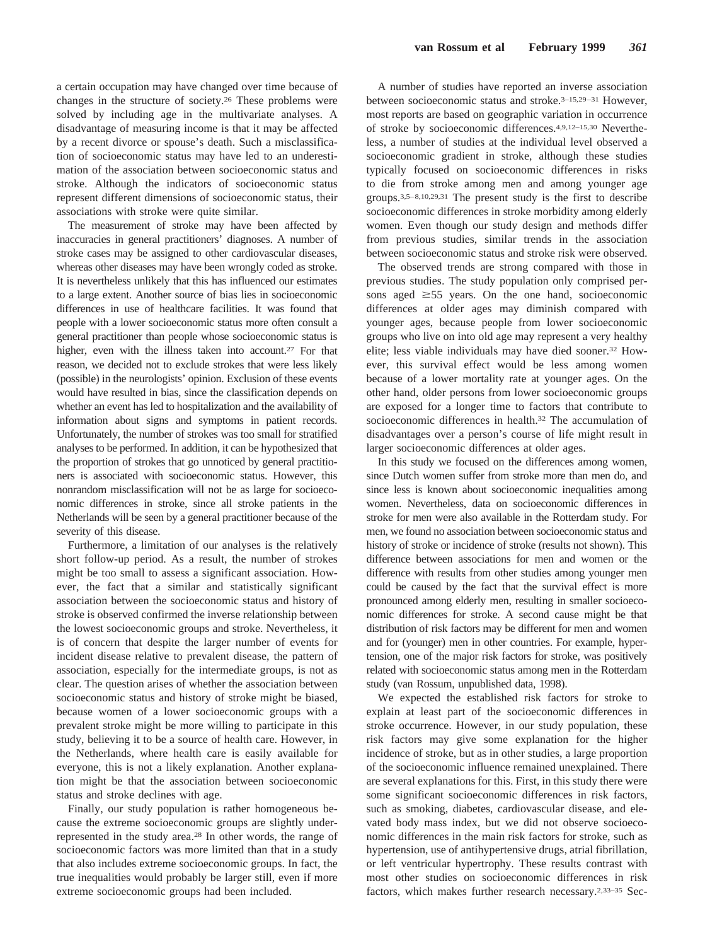a certain occupation may have changed over time because of changes in the structure of society.26 These problems were solved by including age in the multivariate analyses. A disadvantage of measuring income is that it may be affected by a recent divorce or spouse's death. Such a misclassification of socioeconomic status may have led to an underestimation of the association between socioeconomic status and stroke. Although the indicators of socioeconomic status represent different dimensions of socioeconomic status, their associations with stroke were quite similar.

The measurement of stroke may have been affected by inaccuracies in general practitioners' diagnoses. A number of stroke cases may be assigned to other cardiovascular diseases, whereas other diseases may have been wrongly coded as stroke. It is nevertheless unlikely that this has influenced our estimates to a large extent. Another source of bias lies in socioeconomic differences in use of healthcare facilities. It was found that people with a lower socioeconomic status more often consult a general practitioner than people whose socioeconomic status is higher, even with the illness taken into account.<sup>27</sup> For that reason, we decided not to exclude strokes that were less likely (possible) in the neurologists' opinion. Exclusion of these events would have resulted in bias, since the classification depends on whether an event has led to hospitalization and the availability of information about signs and symptoms in patient records. Unfortunately, the number of strokes was too small for stratified analyses to be performed. In addition, it can be hypothesized that the proportion of strokes that go unnoticed by general practitioners is associated with socioeconomic status. However, this nonrandom misclassification will not be as large for socioeconomic differences in stroke, since all stroke patients in the Netherlands will be seen by a general practitioner because of the severity of this disease.

Furthermore, a limitation of our analyses is the relatively short follow-up period. As a result, the number of strokes might be too small to assess a significant association. However, the fact that a similar and statistically significant association between the socioeconomic status and history of stroke is observed confirmed the inverse relationship between the lowest socioeconomic groups and stroke. Nevertheless, it is of concern that despite the larger number of events for incident disease relative to prevalent disease, the pattern of association, especially for the intermediate groups, is not as clear. The question arises of whether the association between socioeconomic status and history of stroke might be biased, because women of a lower socioeconomic groups with a prevalent stroke might be more willing to participate in this study, believing it to be a source of health care. However, in the Netherlands, where health care is easily available for everyone, this is not a likely explanation. Another explanation might be that the association between socioeconomic status and stroke declines with age.

Finally, our study population is rather homogeneous because the extreme socioeconomic groups are slightly underrepresented in the study area.28 In other words, the range of socioeconomic factors was more limited than that in a study that also includes extreme socioeconomic groups. In fact, the true inequalities would probably be larger still, even if more extreme socioeconomic groups had been included.

A number of studies have reported an inverse association between socioeconomic status and stroke.3–15,29–31 However, most reports are based on geographic variation in occurrence of stroke by socioeconomic differences.4,9,12–15,30 Nevertheless, a number of studies at the individual level observed a socioeconomic gradient in stroke, although these studies typically focused on socioeconomic differences in risks to die from stroke among men and among younger age groups.3,5–8,10,29,31 The present study is the first to describe socioeconomic differences in stroke morbidity among elderly women. Even though our study design and methods differ from previous studies, similar trends in the association between socioeconomic status and stroke risk were observed.

The observed trends are strong compared with those in previous studies. The study population only comprised persons aged  $\geq 55$  years. On the one hand, socioeconomic differences at older ages may diminish compared with younger ages, because people from lower socioeconomic groups who live on into old age may represent a very healthy elite; less viable individuals may have died sooner.32 However, this survival effect would be less among women because of a lower mortality rate at younger ages. On the other hand, older persons from lower socioeconomic groups are exposed for a longer time to factors that contribute to socioeconomic differences in health.32 The accumulation of disadvantages over a person's course of life might result in larger socioeconomic differences at older ages.

In this study we focused on the differences among women, since Dutch women suffer from stroke more than men do, and since less is known about socioeconomic inequalities among women. Nevertheless, data on socioeconomic differences in stroke for men were also available in the Rotterdam study. For men, we found no association between socioeconomic status and history of stroke or incidence of stroke (results not shown). This difference between associations for men and women or the difference with results from other studies among younger men could be caused by the fact that the survival effect is more pronounced among elderly men, resulting in smaller socioeconomic differences for stroke. A second cause might be that distribution of risk factors may be different for men and women and for (younger) men in other countries. For example, hypertension, one of the major risk factors for stroke, was positively related with socioeconomic status among men in the Rotterdam study (van Rossum, unpublished data, 1998).

We expected the established risk factors for stroke to explain at least part of the socioeconomic differences in stroke occurrence. However, in our study population, these risk factors may give some explanation for the higher incidence of stroke, but as in other studies, a large proportion of the socioeconomic influence remained unexplained. There are several explanations for this. First, in this study there were some significant socioeconomic differences in risk factors, such as smoking, diabetes, cardiovascular disease, and elevated body mass index, but we did not observe socioeconomic differences in the main risk factors for stroke, such as hypertension, use of antihypertensive drugs, atrial fibrillation, or left ventricular hypertrophy. These results contrast with most other studies on socioeconomic differences in risk factors, which makes further research necessary.2,33–35 Sec